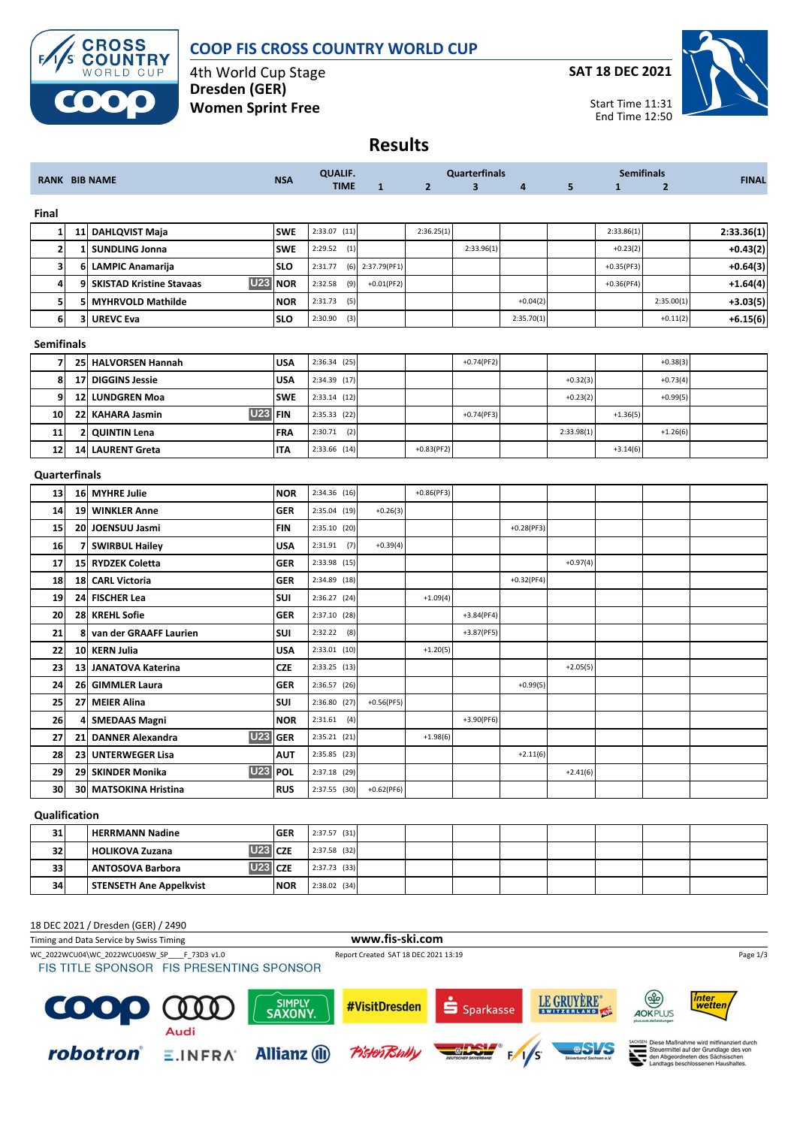

## **COOP FIS CROSS COUNTRY WORLD CUP**

4th World Cup Stage **Dresden (GER) Women Sprint Free**

**SAT 18 DEC 2021**



| <b>Results</b> |
|----------------|
|----------------|

| <b>RANK BIB NAME</b>    |                 | <b>NSA</b>                                    | <b>QUALIF.</b> |                | <b>Quarterfinals</b> |                |                         | <b>Semifinals</b> |            |              | <b>FINAL</b>   |            |
|-------------------------|-----------------|-----------------------------------------------|----------------|----------------|----------------------|----------------|-------------------------|-------------------|------------|--------------|----------------|------------|
|                         |                 |                                               |                | <b>TIME</b>    | $\mathbf{1}$         | $\overline{2}$ | $\overline{\mathbf{3}}$ | 4                 | 5          | $\mathbf{1}$ | $\overline{2}$ |            |
| Final                   |                 |                                               |                |                |                      |                |                         |                   |            |              |                |            |
| 1                       |                 | 11 DAHLQVIST Maja                             | <b>SWE</b>     | $2:33.07$ (11) |                      | 2:36.25(1)     |                         |                   |            | 2:33.86(1)   |                | 2:33.36(1) |
| $\mathbf{z}$            | 1               | <b>SUNDLING Jonna</b>                         | <b>SWE</b>     | 2:29.52<br>(1) |                      |                | 2:33.96(1)              |                   |            | $+0.23(2)$   |                | $+0.43(2)$ |
| 3                       | 6               | <b>LAMPIC Anamarija</b>                       | <b>SLO</b>     | 2:31.77<br>(6) | 2:37.79(PF1)         |                |                         |                   |            | $+0.35(PF3)$ |                | $+0.64(3)$ |
| 4                       | 9               | <b>U23</b><br><b>SKISTAD Kristine Stavaas</b> | <b>NOR</b>     | 2:32.58<br>(9) | $+0.01$ (PF2)        |                |                         |                   |            | $+0.36(PF4)$ |                | $+1.64(4)$ |
| 5                       | 5               | <b>MYHRVOLD Mathilde</b>                      | <b>NOR</b>     | 2:31.73<br>(5) |                      |                |                         | $+0.04(2)$        |            |              | 2:35.00(1)     | $+3.03(5)$ |
| 6                       | 3               | <b>UREVC Eva</b>                              | <b>SLO</b>     | 2:30.90<br>(3) |                      |                |                         | 2:35.70(1)        |            |              | $+0.11(2)$     | $+6.15(6)$ |
| <b>Semifinals</b>       |                 |                                               |                |                |                      |                |                         |                   |            |              |                |            |
| $\overline{\mathbf{z}}$ | 25              | <b>HALVORSEN Hannah</b>                       | <b>USA</b>     | 2:36.34 (25)   |                      |                | $+0.74(PF2)$            |                   |            |              | $+0.38(3)$     |            |
| 8                       | 17              | <b>DIGGINS Jessie</b>                         | <b>USA</b>     | 2:34.39 (17)   |                      |                |                         |                   | $+0.32(3)$ |              | $+0.73(4)$     |            |
| 9                       | 12              | <b>LUNDGREN Moa</b>                           | <b>SWE</b>     | $2:33.14$ (12) |                      |                |                         |                   | $+0.23(2)$ |              | $+0.99(5)$     |            |
| 10                      | 22              | <b>U23</b><br><b>KAHARA Jasmin</b>            | <b>FIN</b>     | 2:35.33 (22)   |                      |                | $+0.74(PF3)$            |                   |            | $+1.36(5)$   |                |            |
| 11                      | 2               | <b>QUINTIN Lena</b>                           | FRA            | $2:30.71$ (2)  |                      |                |                         |                   | 2:33.98(1) |              | $+1.26(6)$     |            |
| 12                      | 14              | <b>LAURENT Greta</b>                          | <b>ITA</b>     | 2:33.66 (14)   |                      | $+0.83(PF2)$   |                         |                   |            | $+3.14(6)$   |                |            |
| Quarterfinals           |                 |                                               |                |                |                      |                |                         |                   |            |              |                |            |
| 13                      |                 | 16 MYHRE Julie                                | <b>NOR</b>     | 2:34.36 (16)   |                      | $+0.86(PF3)$   |                         |                   |            |              |                |            |
| 14                      | 19              | <b>WINKLER Anne</b>                           | <b>GER</b>     | 2:35.04 (19)   | $+0.26(3)$           |                |                         |                   |            |              |                |            |
| 15                      |                 | 20 JOENSUU Jasmi                              | FIN            | 2:35.10 (20)   |                      |                |                         | $+0.28(PF3)$      |            |              |                |            |
| 16                      |                 | 7 SWIRBUL Hailey                              | <b>USA</b>     | (7)<br>2:31.91 | $+0.39(4)$           |                |                         |                   |            |              |                |            |
| 17                      | 15              | <b>RYDZEK Coletta</b>                         | GER            | 2:33.98 (15)   |                      |                |                         |                   | $+0.97(4)$ |              |                |            |
| 18                      | 18              | <b>CARL Victoria</b>                          | GER            | 2:34.89 (18)   |                      |                |                         | $+0.32(PF4)$      |            |              |                |            |
| 19                      | 24              | <b>FISCHER Lea</b>                            | SUI            | 2:36.27 (24)   |                      | $+1.09(4)$     |                         |                   |            |              |                |            |
| 20                      | 28.             | <b>KREHL Sofie</b>                            | <b>GER</b>     | 2:37.10 (28)   |                      |                | $+3.84(PF4)$            |                   |            |              |                |            |
| 21                      | 8               | van der GRAAFF Laurien                        | SUI            | 2:32.22<br>(8) |                      |                | $+3.87(PF5)$            |                   |            |              |                |            |
| 22                      |                 | 10 KERN Julia                                 | <b>USA</b>     | $2:33.01$ (10) |                      | $+1.20(5)$     |                         |                   |            |              |                |            |
| 23                      | 13 <sub>l</sub> | <b>JANATOVA Katerina</b>                      | CZE            | 2:33.25 (13)   |                      |                |                         |                   | $+2.05(5)$ |              |                |            |
| 24                      | 26              | <b>GIMMLER Laura</b>                          | GER            | 2:36.57 (26)   |                      |                |                         | $+0.99(5)$        |            |              |                |            |
| 25                      | 27              | <b>MEIER Alina</b>                            | SUI            | 2:36.80 (27)   | $+0.56(PF5)$         |                |                         |                   |            |              |                |            |
| 26                      | 41              | <b>SMEDAAS Magni</b>                          | <b>NOR</b>     | $2:31.61$ (4)  |                      |                | $+3.90(PF6)$            |                   |            |              |                |            |
| 27                      |                 | <b>U23</b><br>21 DANNER Alexandra             | <b>GER</b>     | $2:35.21$ (21) |                      | $+1.98(6)$     |                         |                   |            |              |                |            |
| 28                      |                 | 23 UNTERWEGER Lisa                            | <b>AUT</b>     | $2:35.85$ (23) |                      |                |                         | $+2.11(6)$        |            |              |                |            |
| 29                      |                 | <b>U23 POL</b><br>29 SKINDER Monika           |                | 2:37.18 (29)   |                      |                |                         |                   | $+2.41(6)$ |              |                |            |
| 30                      |                 | 30 MATSOKINA Hristina                         | <b>RUS</b>     | 2:37.55 (30)   | $+0.62(PF6)$         |                |                         |                   |            |              |                |            |
| Qualification           |                 |                                               |                |                |                      |                |                         |                   |            |              |                |            |
| 31                      |                 | <b>HERRMANN Nadine</b>                        | <b>GER</b>     | 2:37.57 (31)   |                      |                |                         |                   |            |              |                |            |
| 32                      |                 | <b>U23</b><br><b>HOLIKOVA Zuzana</b>          | <b>CZE</b>     | 2:37.58 (32)   |                      |                |                         |                   |            |              |                |            |
| 33                      |                 | <b>U23</b><br><b>ANTOSOVA Barbora</b>         | <b>CZE</b>     | 2:37.73 (33)   |                      |                |                         |                   |            |              |                |            |
| 34                      |                 | <b>STENSETH Ane Appelkvist</b>                | <b>NOR</b>     | 2:38.02 (34)   |                      |                |                         |                   |            |              |                |            |

## 18 DEC 2021 / Dresden (GER) / 2490

Timing and Data Service by Swiss Timing **www.fis-ski.com** WC\_2022WCU04\WC\_2022WCU04SW\_SP\_\_\_F\_73D3 v1.0 Report Created SAT 18 DEC 2021 13:19 Page 1/3<br>
FIS TITLE SPONSOR FIS PRESENTING SPONSOR LE GRUYÈRE\*  $\circledast$ inter<br>wetten SIMPLY<br>SAXONY #VisitDresden C  $\bf{0}$ S Sparkasse  $0<sub>0</sub>$ AOKPLUS Audi SEN Diese Maßnahme wird mitfinanziert durch<br>Steuermittel auf der Grundlage des von<br>den Abgeordneten des Sächsischen<br>Landtags beschlossenen Haushaltes. robotron® **Allianz** (II) **Pistent**  $E.INFRA$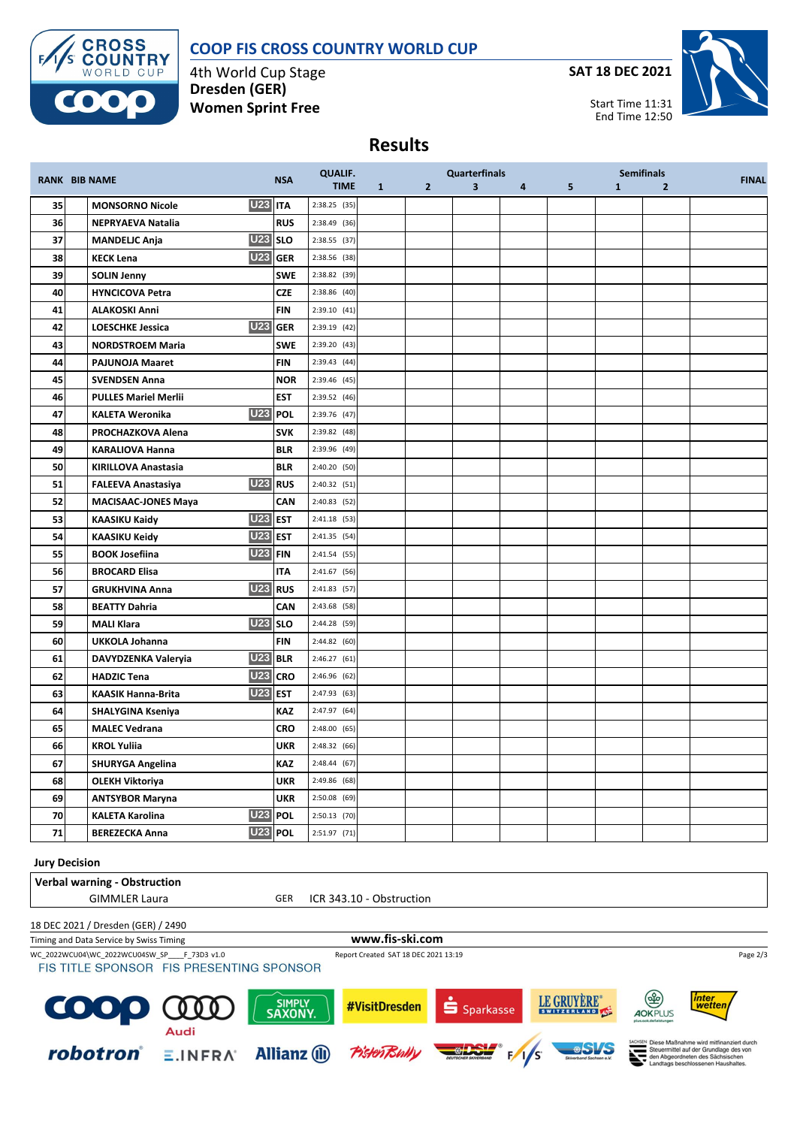



4th World Cup Stage **Dresden (GER) Women Sprint Free**

**SAT 18 DEC 2021**



Start Time 11:31 End Time 12:50

## **Results**

|    | <b>RANK BIB NAME</b>        | <b>NSA</b>          | <b>QUALIF.</b> |              |                | <b>Quarterfinals</b>    |   |   |              | <b>Semifinals</b> | <b>FINAL</b> |
|----|-----------------------------|---------------------|----------------|--------------|----------------|-------------------------|---|---|--------------|-------------------|--------------|
|    |                             |                     | <b>TIME</b>    | $\mathbf{1}$ | 2 <sup>2</sup> | $\overline{\mathbf{3}}$ | 4 | 5 | $\mathbf{1}$ | $\overline{2}$    |              |
| 35 | <b>MONSORNO Nicole</b>      | <b>U23 ITA</b>      | $2:38.25$ (35) |              |                |                         |   |   |              |                   |              |
| 36 | <b>NEPRYAEVA Natalia</b>    | <b>RUS</b>          | 2:38.49 (36)   |              |                |                         |   |   |              |                   |              |
| 37 | <b>MANDELJC Anja</b>        | <b>U23</b> SLO      | 2:38.55 (37)   |              |                |                         |   |   |              |                   |              |
| 38 | <b>KECK Lena</b>            | U23 GER             | 2:38.56 (38)   |              |                |                         |   |   |              |                   |              |
| 39 | <b>SOLIN Jenny</b>          | <b>SWE</b>          | 2:38.82 (39)   |              |                |                         |   |   |              |                   |              |
| 40 | <b>HYNCICOVA Petra</b>      | <b>CZE</b>          | 2:38.86 (40)   |              |                |                         |   |   |              |                   |              |
| 41 | <b>ALAKOSKI Anni</b>        | <b>FIN</b>          | $2:39.10$ (41) |              |                |                         |   |   |              |                   |              |
| 42 | <b>LOESCHKE Jessica</b>     | U23 GER             | 2:39.19 (42)   |              |                |                         |   |   |              |                   |              |
| 43 | <b>NORDSTROEM Maria</b>     | <b>SWE</b>          | 2:39.20(43)    |              |                |                         |   |   |              |                   |              |
| 44 | <b>PAJUNOJA Maaret</b>      | <b>FIN</b>          | 2:39.43 (44)   |              |                |                         |   |   |              |                   |              |
| 45 | <b>SVENDSEN Anna</b>        | <b>NOR</b>          | 2:39.46 (45)   |              |                |                         |   |   |              |                   |              |
| 46 | <b>PULLES Mariel Merlii</b> | <b>EST</b>          | 2:39.52 (46)   |              |                |                         |   |   |              |                   |              |
| 47 | <b>KALETA Weronika</b>      | U <sub>23</sub> POL | 2:39.76 (47)   |              |                |                         |   |   |              |                   |              |
| 48 | PROCHAZKOVA Alena           | <b>SVK</b>          | 2:39.82 (48)   |              |                |                         |   |   |              |                   |              |
| 49 | <b>KARALIOVA Hanna</b>      | <b>BLR</b>          | 2:39.96 (49)   |              |                |                         |   |   |              |                   |              |
| 50 | <b>KIRILLOVA Anastasia</b>  | <b>BLR</b>          | 2:40.20 (50)   |              |                |                         |   |   |              |                   |              |
| 51 | <b>FALEEVA Anastasiya</b>   | U23 RUS             | 2:40.32 (51)   |              |                |                         |   |   |              |                   |              |
| 52 | <b>MACISAAC-JONES Maya</b>  | CAN                 | 2:40.83 (52)   |              |                |                         |   |   |              |                   |              |
| 53 | KAASIKU Kaidy               | <b>U23 EST</b>      | 2:41.18 (53)   |              |                |                         |   |   |              |                   |              |
| 54 | <b>KAASIKU Keidy</b>        | <b>U23 EST</b>      | $2:41.35$ (54) |              |                |                         |   |   |              |                   |              |
| 55 | <b>BOOK Josefiina</b>       | <b>U23 FIN</b>      | 2:41.54 (55)   |              |                |                         |   |   |              |                   |              |
| 56 | <b>BROCARD Elisa</b>        | <b>ITA</b>          | 2:41.67 (56)   |              |                |                         |   |   |              |                   |              |
| 57 | <b>GRUKHVINA Anna</b>       | U <sub>23</sub> RUS | 2:41.83 (57)   |              |                |                         |   |   |              |                   |              |
| 58 | <b>BEATTY Dahria</b>        | CAN                 | 2:43.68 (58)   |              |                |                         |   |   |              |                   |              |
| 59 | <b>MALI Klara</b>           | <b>U23</b> SLO      | 2:44.28 (59)   |              |                |                         |   |   |              |                   |              |
| 60 | UKKOLA Johanna              | <b>FIN</b>          | 2:44.82 (60)   |              |                |                         |   |   |              |                   |              |
| 61 | DAVYDZENKA Valeryia         | <b>U23 BLR</b>      | 2:46.27 (61)   |              |                |                         |   |   |              |                   |              |
| 62 | <b>HADZIC Tena</b>          | U <sub>23</sub> CRO | 2:46.96 (62)   |              |                |                         |   |   |              |                   |              |
| 63 | <b>KAASIK Hanna-Brita</b>   | <b>U23 EST</b>      | 2:47.93 (63)   |              |                |                         |   |   |              |                   |              |
| 64 | <b>SHALYGINA Kseniya</b>    | KAZ                 | 2:47.97 (64)   |              |                |                         |   |   |              |                   |              |
| 65 | <b>MALEC Vedrana</b>        | <b>CRO</b>          | $2:48.00$ (65) |              |                |                         |   |   |              |                   |              |
| 66 | <b>KROL Yuliia</b>          | UKR                 | 2:48.32 (66)   |              |                |                         |   |   |              |                   |              |
| 67 | <b>SHURYGA Angelina</b>     | KAZ                 | 2:48.44 (67)   |              |                |                         |   |   |              |                   |              |
| 68 | <b>OLEKH Viktoriya</b>      | UKR                 | 2:49.86 (68)   |              |                |                         |   |   |              |                   |              |
| 69 | <b>ANTSYBOR Maryna</b>      | <b>UKR</b>          | 2:50.08 (69)   |              |                |                         |   |   |              |                   |              |
| 70 | <b>KALETA Karolina</b>      | <b>U23 POL</b>      | $2:50.13$ (70) |              |                |                         |   |   |              |                   |              |
| 71 | <b>BEREZECKA Anna</b>       | U <sub>23</sub> POL | $2:51.97$ (71) |              |                |                         |   |   |              |                   |              |

## **Jury Decision**

| <b>Verbal warning - Obstruction</b>                                                    |                     |                                      |                       |             |                                                                                                                                                                     |
|----------------------------------------------------------------------------------------|---------------------|--------------------------------------|-----------------------|-------------|---------------------------------------------------------------------------------------------------------------------------------------------------------------------|
| <b>GIMMLER Laura</b>                                                                   | <b>GER</b>          | ICR 343.10 - Obstruction             |                       |             |                                                                                                                                                                     |
| 18 DEC 2021 / Dresden (GER) / 2490                                                     |                     |                                      |                       |             |                                                                                                                                                                     |
| Timing and Data Service by Swiss Timing                                                |                     | www.fis-ski.com                      |                       |             |                                                                                                                                                                     |
| WC 2022WCU04\WC 2022WCU04SW SP F 73D3 v1.0<br>FIS TITLE SPONSOR FIS PRESENTING SPONSOR |                     | Report Created SAT 18 DEC 2021 13:19 |                       |             | Page 2/3                                                                                                                                                            |
| COOP QUE<br>Audi                                                                       | SIMPLY<br>SAXONY.   | #VisitDresden                        | S <sub>parkasse</sub> | LE GRUYÈRE" | த<br><i>inter</i><br>wetten<br><b>AOKPLUS</b><br>slus nok de/leistung                                                                                               |
| robotron®<br>E.INFRA                                                                   | <b>Allianz</b> (ii) | PistenBully                          |                       |             | SACHSEN Diese Maßnahme wird mitfinanziert durch<br>Steuermittel auf der Grundlage des von<br>den Abgeordneten des Sächsischen<br>Landtags beschlossenen Haushaltes. |